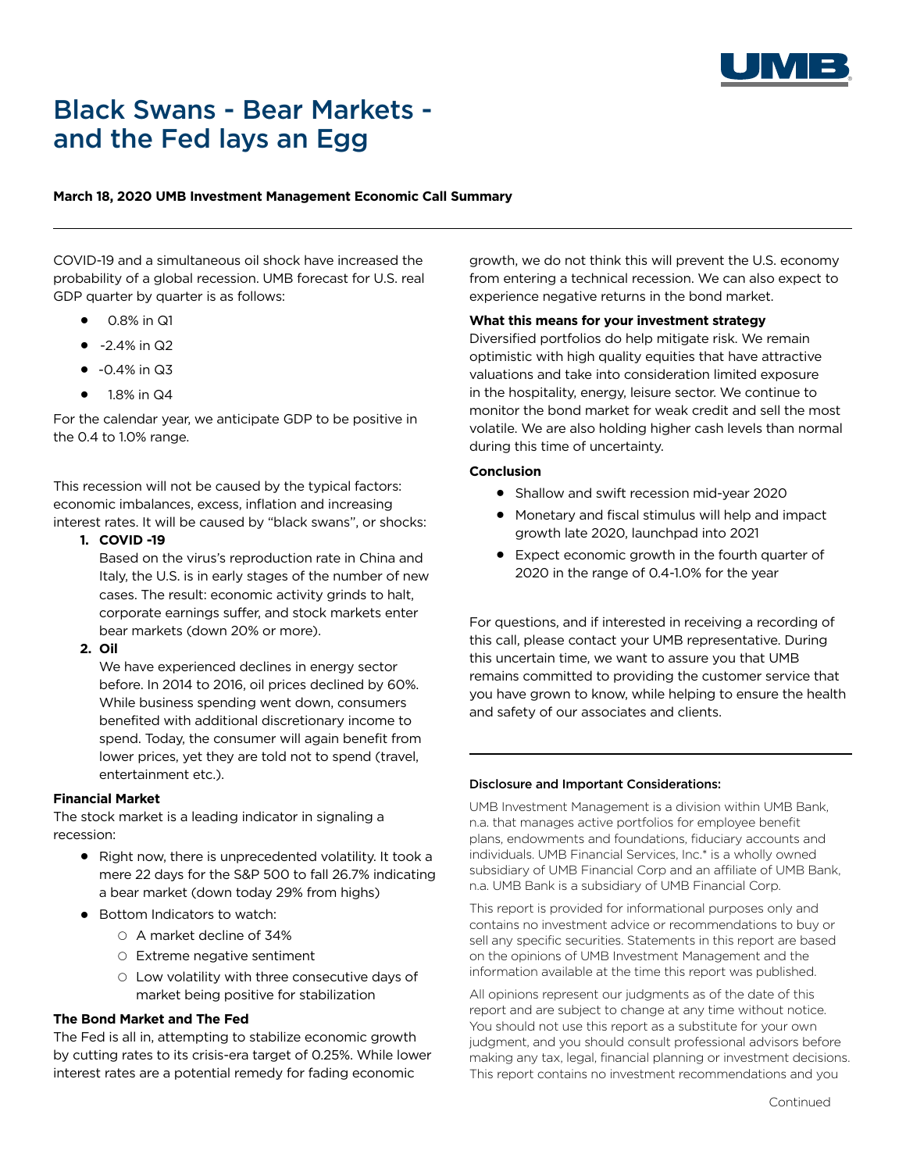

# Black Swans - Bear Markets and the Fed lays an Egg

# **March 18, 2020 UMB Investment Management Economic Call Summary**

COVID-19 and a simultaneous oil shock have increased the probability of a global recession. UMB forecast for U.S. real GDP quarter by quarter is as follows:

- ⚫ 0.8% in Q1
- $\bullet$  -2.4% in Q2
- $\bullet$  -0.4% in Q3
- ⚫ 1.8% in Q4

For the calendar year, we anticipate GDP to be positive in the 0.4 to 1.0% range.

This recession will not be caused by the typical factors: economic imbalances, excess, inflation and increasing interest rates. It will be caused by "black swans", or shocks:

**1. COVID -19**

Based on the virus's reproduction rate in China and Italy, the U.S. is in early stages of the number of new cases. The result: economic activity grinds to halt, corporate earnings suffer, and stock markets enter bear markets (down 20% or more).

**2. Oil**

We have experienced declines in energy sector before. In 2014 to 2016, oil prices declined by 60%. While business spending went down, consumers benefited with additional discretionary income to spend. Today, the consumer will again benefit from lower prices, yet they are told not to spend (travel, entertainment etc.).

# **Financial Market**

The stock market is a leading indicator in signaling a recession:

- ⚫ Right now, there is unprecedented volatility. It took a mere 22 days for the S&P 500 to fall 26.7% indicating a bear market (down today 29% from highs)
- Bottom Indicators to watch:
	- A market decline of 34%
	- Extreme negative sentiment
	- Low volatility with three consecutive days of market being positive for stabilization

#### **The Bond Market and The Fed**

The Fed is all in, attempting to stabilize economic growth by cutting rates to its crisis-era target of 0.25%. While lower interest rates are a potential remedy for fading economic

growth, we do not think this will prevent the U.S. economy from entering a technical recession. We can also expect to experience negative returns in the bond market.

## **What this means for your investment strategy**

Diversified portfolios do help mitigate risk. We remain optimistic with high quality equities that have attractive valuations and take into consideration limited exposure in the hospitality, energy, leisure sector. We continue to monitor the bond market for weak credit and sell the most volatile. We are also holding higher cash levels than normal during this time of uncertainty.

## **Conclusion**

- ⚫ Shallow and swift recession mid-year 2020
- Monetary and fiscal stimulus will help and impact growth late 2020, launchpad into 2021
- Expect economic growth in the fourth quarter of 2020 in the range of 0.4-1.0% for the year

For questions, and if interested in receiving a recording of this call, please contact your UMB representative. During this uncertain time, we want to assure you that UMB remains committed to providing the customer service that you have grown to know, while helping to ensure the health and safety of our associates and clients.

#### Disclosure and Important Considerations:

UMB Investment Management is a division within UMB Bank, n.a. that manages active portfolios for employee benefit plans, endowments and foundations, fiduciary accounts and individuals. UMB Financial Services, Inc.\* is a wholly owned subsidiary of UMB Financial Corp and an affiliate of UMB Bank, n.a. UMB Bank is a subsidiary of UMB Financial Corp.

This report is provided for informational purposes only and contains no investment advice or recommendations to buy or sell any specific securities. Statements in this report are based on the opinions of UMB Investment Management and the information available at the time this report was published.

All opinions represent our judgments as of the date of this report and are subject to change at any time without notice. You should not use this report as a substitute for your own judgment, and you should consult professional advisors before making any tax, legal, financial planning or investment decisions. This report contains no investment recommendations and you